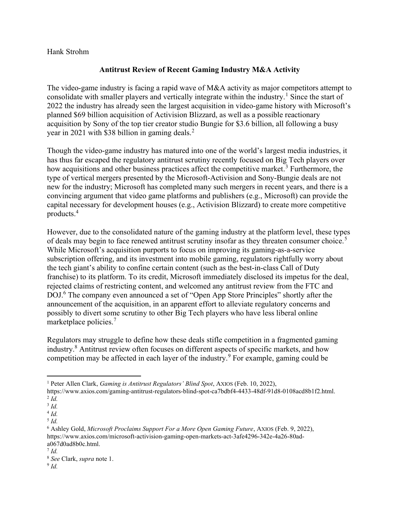Hank Strohm

## Antitrust Review of Recent Gaming Industry M&A Activity

The video-game industry is facing a rapid wave of M&A activity as major competitors attempt to consolidate with smaller players and vertically integrate within the industry.<sup>1</sup> Since the start of 2022 the industry has already seen the largest acquisition in video-game history with Microsoft's planned \$69 billion acquisition of Activision Blizzard, as well as a possible reactionary acquisition by Sony of the top tier creator studio Bungie for \$3.6 billion, all following a busy year in 2021 with \$38 billion in gaming deals.<sup>2</sup>

Though the video-game industry has matured into one of the world's largest media industries, it has thus far escaped the regulatory antitrust scrutiny recently focused on Big Tech players over how acquisitions and other business practices affect the competitive market.<sup>3</sup> Furthermore, the type of vertical mergers presented by the Microsoft-Activision and Sony-Bungie deals are not new for the industry; Microsoft has completed many such mergers in recent years, and there is a convincing argument that video game platforms and publishers (e.g., Microsoft) can provide the capital necessary for development houses (e.g., Activision Blizzard) to create more competitive products.<sup>4</sup>

However, due to the consolidated nature of the gaming industry at the platform level, these types of deals may begin to face renewed antitrust scrutiny insofar as they threaten consumer choice.<sup>5</sup> While Microsoft's acquisition purports to focus on improving its gaming-as-a-service subscription offering, and its investment into mobile gaming, regulators rightfully worry about the tech giant's ability to confine certain content (such as the best-in-class Call of Duty franchise) to its platform. To its credit, Microsoft immediately disclosed its impetus for the deal, rejected claims of restricting content, and welcomed any antitrust review from the FTC and DOJ.<sup>6</sup> The company even announced a set of "Open App Store Principles" shortly after the announcement of the acquisition, in an apparent effort to alleviate regulatory concerns and possibly to divert some scrutiny to other Big Tech players who have less liberal online marketplace policies.<sup>7</sup>

Regulators may struggle to define how these deals stifle competition in a fragmented gaming industry.<sup>8</sup> Antitrust review often focuses on different aspects of specific markets, and how competition may be affected in each layer of the industry.<sup>9</sup> For example, gaming could be

<sup>&</sup>lt;sup>1</sup> Peter Allen Clark, *Gaming is Antitrust Regulators' Blind Spot*, AXIOS (Feb. 10, 2022),

https://www.axios.com/gaming-antitrust-regulators-blind-spot-ca7bdbf4-4433-48df-91d8-0108acd8b1f2.html.  $2$  Id.

 $3$  Id.

 $4$  Id.

 $^5$  Id.

<sup>&</sup>lt;sup>6</sup> Ashley Gold, Microsoft Proclaims Support For a More Open Gaming Future, AXIOS (Feb. 9, 2022), https://www.axios.com/microsoft-activision-gaming-open-markets-act-3afe4296-342e-4a26-80ada067d0ad8b0c.html.

 $^7$  Id.

<sup>8</sup> See Clark, supra note 1.

 $9$  Id.